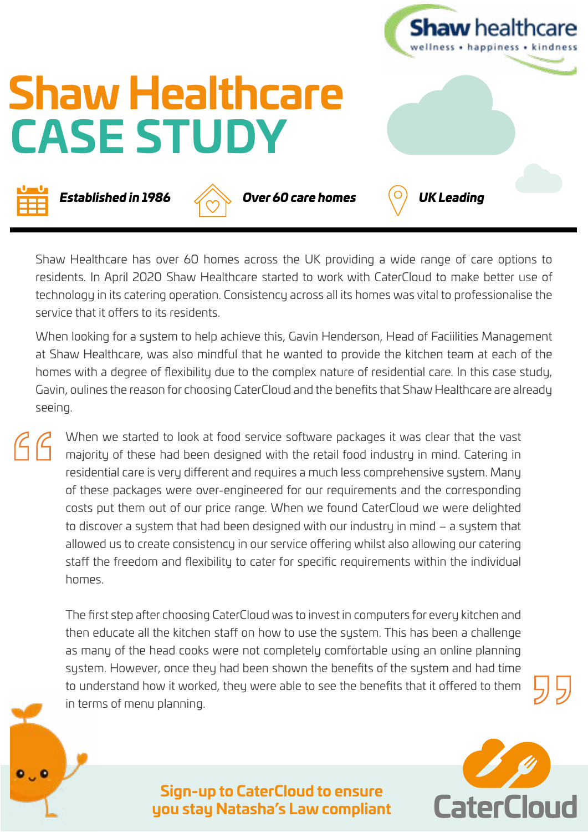

Shaw Healthcare has over 60 homes across the UK providing a wide range of care options to residents. In April 2020 Shaw Healthcare started to work with CaterCloud to make better use of technology in its catering operation. Consistency across all its homes was vital to professionalise the service that it offers to its residents.

When looking for a system to help achieve this, Gavin Henderson, Head of Faciilities Management at Shaw Healthcare, was also mindful that he wanted to provide the kitchen team at each of the homes with a degree of flexibility due to the complex nature of residential care. In this case study, Gavin, oulines the reason for choosing CaterCloud and the benefits that Shaw Healthcare are already seeing.

When we started to look at food service software packages it was clear that the vast  $C$ majority of these had been designed with the retail food industry in mind. Catering in residential care is very different and requires a much less comprehensive system. Many of these packages were over-engineered for our requirements and the corresponding costs put them out of our price range. When we found CaterCloud we were delighted to discover a system that had been designed with our industry in mind – a system that allowed us to create consistency in our service offering whilst also allowing our catering staff the freedom and flexibility to cater for specific requirements within the individual homes.

The first step after choosing CaterCloud was to invest in computers for every kitchen and then educate all the kitchen staff on how to use the system. This has been a challenge as many of the head cooks were not completely comfortable using an online planning system. However, once they had been shown the benefits of the system and had time to understand how it worked, they were able to see the benefits that it offered to them in terms of menu planning.



**Sign-up to CaterCloud to ensure you stay Natasha's Law compliant**